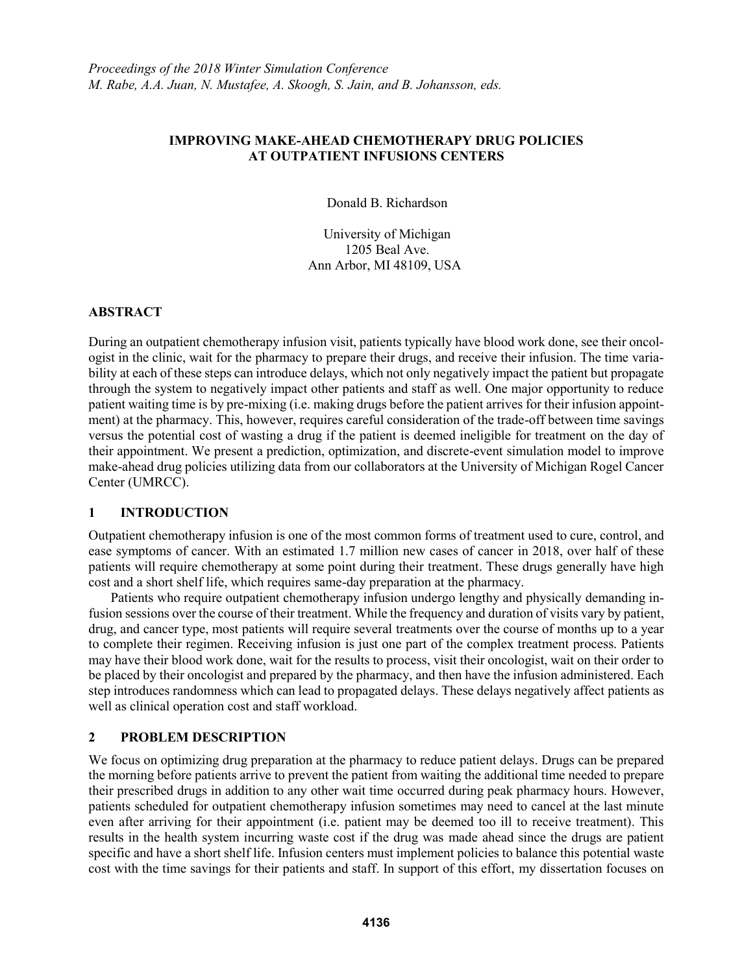#### **IMPROVING MAKE-AHEAD CHEMOTHERAPY DRUG POLICIES AT OUTPATIENT INFUSIONS CENTERS**

Donald B. Richardson

University of Michigan 1205 Beal Ave. Ann Arbor, MI 48109, USA

## **ABSTRACT**

During an outpatient chemotherapy infusion visit, patients typically have blood work done, see their oncologist in the clinic, wait for the pharmacy to prepare their drugs, and receive their infusion. The time variability at each of these steps can introduce delays, which not only negatively impact the patient but propagate through the system to negatively impact other patients and staff as well. One major opportunity to reduce patient waiting time is by pre-mixing (i.e. making drugs before the patient arrives for their infusion appointment) at the pharmacy. This, however, requires careful consideration of the trade-off between time savings versus the potential cost of wasting a drug if the patient is deemed ineligible for treatment on the day of their appointment. We present a prediction, optimization, and discrete-event simulation model to improve make-ahead drug policies utilizing data from our collaborators at the University of Michigan Rogel Cancer Center (UMRCC).

# **1 INTRODUCTION**

Outpatient chemotherapy infusion is one of the most common forms of treatment used to cure, control, and ease symptoms of cancer. With an estimated 1.7 million new cases of cancer in 2018, over half of these patients will require chemotherapy at some point during their treatment. These drugs generally have high cost and a short shelf life, which requires same-day preparation at the pharmacy.

Patients who require outpatient chemotherapy infusion undergo lengthy and physically demanding infusion sessions over the course of their treatment. While the frequency and duration of visits vary by patient, drug, and cancer type, most patients will require several treatments over the course of months up to a year to complete their regimen. Receiving infusion is just one part of the complex treatment process. Patients may have their blood work done, wait for the results to process, visit their oncologist, wait on their order to be placed by their oncologist and prepared by the pharmacy, and then have the infusion administered. Each step introduces randomness which can lead to propagated delays. These delays negatively affect patients as well as clinical operation cost and staff workload.

# **2 PROBLEM DESCRIPTION**

We focus on optimizing drug preparation at the pharmacy to reduce patient delays. Drugs can be prepared the morning before patients arrive to prevent the patient from waiting the additional time needed to prepare their prescribed drugs in addition to any other wait time occurred during peak pharmacy hours. However, patients scheduled for outpatient chemotherapy infusion sometimes may need to cancel at the last minute even after arriving for their appointment (i.e. patient may be deemed too ill to receive treatment). This results in the health system incurring waste cost if the drug was made ahead since the drugs are patient specific and have a short shelf life. Infusion centers must implement policies to balance this potential waste cost with the time savings for their patients and staff. In support of this effort, my dissertation focuses on